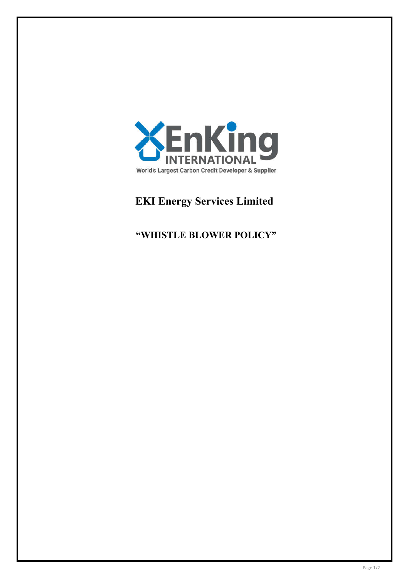

# **EKI Energy Services Limited**

# **"WHISTLE BLOWER POLICY"**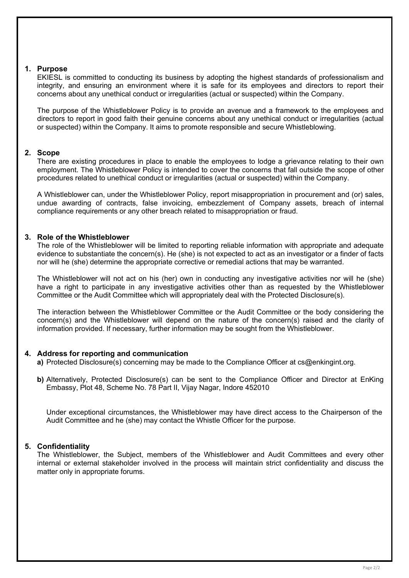# **1. Purpose**

EKIESL is committed to conducting its business by adopting the highest standards of professionalism and integrity, and ensuring an environment where it is safe for its employees and directors to report their concerns about any unethical conduct or irregularities (actual or suspected) within the Company.

The purpose of the Whistleblower Policy is to provide an avenue and a framework to the employees and directors to report in good faith their genuine concerns about any unethical conduct or irregularities (actual or suspected) within the Company. It aims to promote responsible and secure Whistleblowing.

# **2. Scope**

There are existing procedures in place to enable the employees to lodge a grievance relating to their own employment. The Whistleblower Policy is intended to cover the concerns that fall outside the scope of other procedures related to unethical conduct or irregularities (actual or suspected) within the Company.

A Whistleblower can, under the Whistleblower Policy, report misappropriation in procurement and (or) sales, undue awarding of contracts, false invoicing, embezzlement of Company assets, breach of internal compliance requirements or any other breach related to misappropriation or fraud.

# **3. Role of the Whistleblower**

The role of the Whistleblower will be limited to reporting reliable information with appropriate and adequate evidence to substantiate the concern(s). He (she) is not expected to act as an investigator or a finder of facts nor will he (she) determine the appropriate corrective or remedial actions that may be warranted.

The Whistleblower will not act on his (her) own in conducting any investigative activities nor will he (she) have a right to participate in any investigative activities other than as requested by the Whistleblower Committee or the Audit Committee which will appropriately deal with the Protected Disclosure(s).

The interaction between the Whistleblower Committee or the Audit Committee or the body considering the concern(s) and the Whistleblower will depend on the nature of the concern(s) raised and the clarity of information provided. If necessary, further information may be sought from the Whistleblower.

# **4. Address for reporting and communication**

**a)** Protected Disclosure(s) concerning may be made to the Compliance Officer at cs@enkingint.org.

**b)** Alternatively, Protected Disclosure(s) can be sent to the Compliance Officer and Director at EnKing Embassy, Plot 48, Scheme No. 78 Part II, Vijay Nagar, Indore 452010

Under exceptional circumstances, the Whistleblower may have direct access to the Chairperson of the Audit Committee and he (she) may contact the Whistle Officer for the purpose.

# **5. Confidentiality**

The Whistleblower, the Subject, members of the Whistleblower and Audit Committees and every other internal or external stakeholder involved in the process will maintain strict confidentiality and discuss the matter only in appropriate forums.